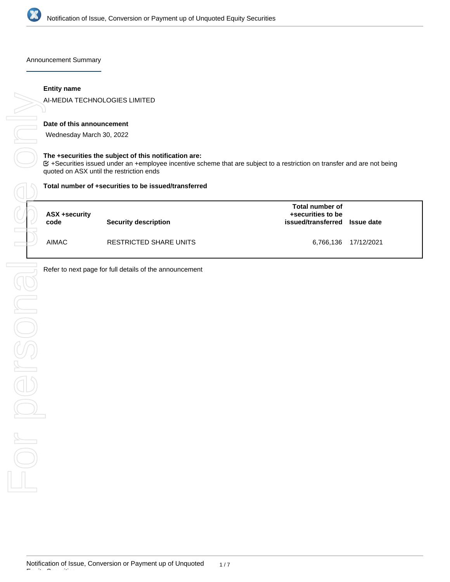

Announcement Summary

## **Entity name**

AI-MEDIA TECHNOLOGIES LIMITED

### **Date of this announcement**

Wednesday March 30, 2022

#### **The +securities the subject of this notification are:**

+Securities issued under an +employee incentive scheme that are subject to a restriction on transfer and are not being

#### **Total number of +securities to be issued/transferred**

| ASX +security<br>code | <b>Security description</b> | <b>Total number of</b><br>+securities to be<br>issued/transferred Issue date |                      |
|-----------------------|-----------------------------|------------------------------------------------------------------------------|----------------------|
| <b>AIMAC</b>          | RESTRICTED SHARE UNITS      |                                                                              | 6,766,136 17/12/2021 |

Refer to next page for full details of the announcement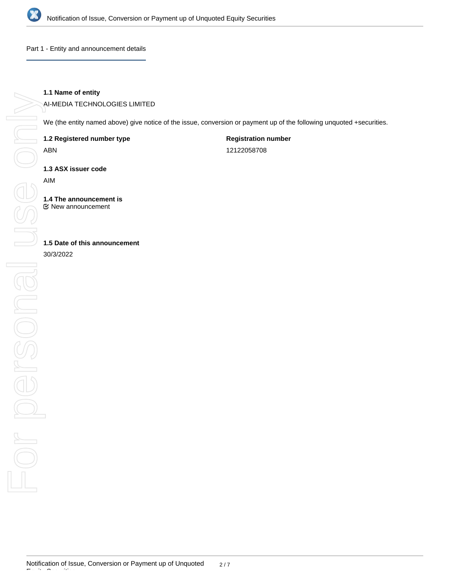

Part 1 - Entity and announcement details

# **1.1 Name of entity**

AI-MEDIA TECHNOLOGIES LIMITED

We (the entity named above) give notice of the issue, conversion or payment up of the following unquoted +securities.

**1.2 Registered number type**

ABN

**Registration number** 12122058708

**1.3 ASX issuer code**

AIM

**1.4 The announcement is** New announcement

**1.5 Date of this announcement**

30/3/2022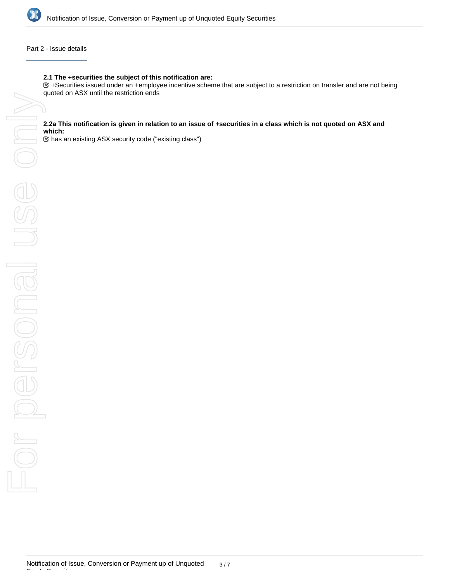

## Part 2 - Issue details

### **2.1 The +securities the subject of this notification are:**

+Securities issued under an +employee incentive scheme that are subject to a restriction on transfer and are not being

#### **2.2a This notification is given in relation to an issue of +securities in a class which is not quoted on ASX and which:**

has an existing ASX security code ("existing class")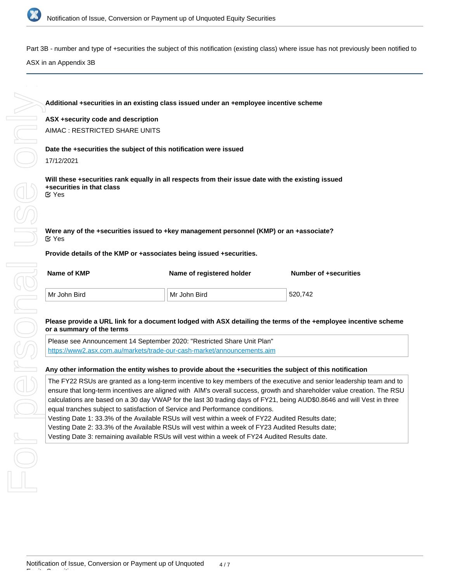

Part 3B - number and type of +securities the subject of this notification (existing class) where issue has not previously been notified to

ASX in an Appendix 3B

**Additional +securities in an existing class issued under an +employee incentive scheme ASX +security code and description** AIMAC : RESTRICTED SHARE UNITS **Date the +securities the subject of this notification were issued** 17/12/2021 **Will these +securities rank equally in all respects from their issue date with the existing issued +securities in that class Were any of the +securities issued to +key management personnel (KMP) or an +associate? Provide details of the KMP or +associates being issued +securities.** Yes Yes

| Name of KMP  | Name of registered holder | <b>Number of +securities</b> |  |
|--------------|---------------------------|------------------------------|--|
| Mr John Bird | Mr John Bird              | 520.742                      |  |

## **Please provide a URL link for a document lodged with ASX detailing the terms of the +employee incentive scheme or a summary of the terms**

Please see Announcement 14 September 2020: "Restricted Share Unit Plan" <https://www2.asx.com.au/markets/trade-our-cash-market/announcements.aim>

### **Any other information the entity wishes to provide about the +securities the subject of this notification**

The FY22 RSUs are granted as a long-term incentive to key members of the executive and senior leadership team and to ensure that long-term incentives are aligned with AIM's overall success, growth and shareholder value creation. The RSU calculations are based on a 30 day VWAP for the last 30 trading days of FY21, being AUD\$0.8646 and will Vest in three equal tranches subject to satisfaction of Service and Performance conditions.

Vesting Date 1: 33.3% of the Available RSUs will vest within a week of FY22 Audited Results date;

Vesting Date 2: 33.3% of the Available RSUs will vest within a week of FY23 Audited Results date;

Vesting Date 3: remaining available RSUs will vest within a week of FY24 Audited Results date.

Equity Securities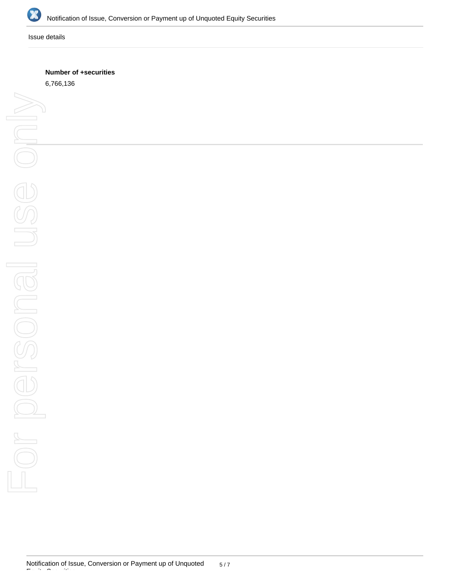

Issue details

## **Number of +securities**

6,766,136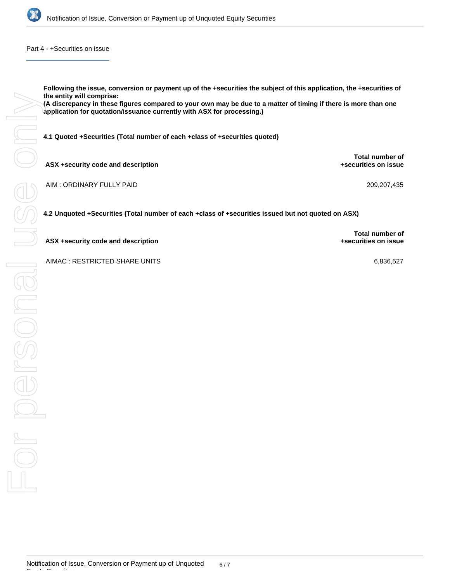

Part 4 - +Securities on issue

**Following the issue, conversion or payment up of the +securities the subject of this application, the +securities of the entity will comprise:**

**(A discrepancy in these figures compared to your own may be due to a matter of timing if there is more than one application for quotation/issuance currently with ASX for processing.)**

**4.1 Quoted +Securities (Total number of each +class of +securities quoted)**

**ASX +security code and description**

AIM : ORDINARY FULLY PAID 209,207,435

**4.2 Unquoted +Securities (Total number of each +class of +securities issued but not quoted on ASX)**

**ASX +security code and description**

Equity Securities

**Total number of +securities on issue**

**Total number of +securities on issue**